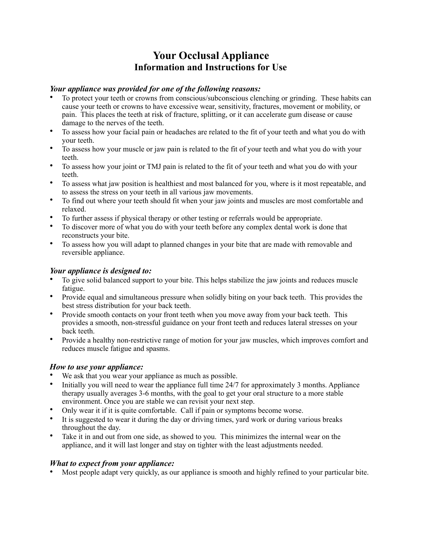# **Your Occlusal Appliance Information and Instructions for Use**

#### *Your appliance was provided for one of the following reasons:*

- To protect your teeth or crowns from conscious/subconscious clenching or grinding. These habits can cause your teeth or crowns to have excessive wear, sensitivity, fractures, movement or mobility, or pain. This places the teeth at risk of fracture, splitting, or it can accelerate gum disease or cause damage to the nerves of the teeth.
- To assess how your facial pain or headaches are related to the fit of your teeth and what you do with your teeth.
- To assess how your muscle or jaw pain is related to the fit of your teeth and what you do with your teeth.
- To assess how your joint or TMJ pain is related to the fit of your teeth and what you do with your teeth.
- To assess what jaw position is healthiest and most balanced for you, where is it most repeatable, and to assess the stress on your teeth in all various jaw movements.
- To find out where your teeth should fit when your jaw joints and muscles are most comfortable and relaxed.
- To further assess if physical therapy or other testing or referrals would be appropriate.
- To discover more of what you do with your teeth before any complex dental work is done that reconstructs your bite.
- To assess how you will adapt to planned changes in your bite that are made with removable and reversible appliance.

## *Your appliance is designed to:*

- To give solid balanced support to your bite. This helps stabilize the jaw joints and reduces muscle fatigue.
- Provide equal and simultaneous pressure when solidly biting on your back teeth. This provides the best stress distribution for your back teeth.
- Provide smooth contacts on your front teeth when you move away from your back teeth. This provides a smooth, non-stressful guidance on your front teeth and reduces lateral stresses on your back teeth.
- Provide a healthy non-restrictive range of motion for your jaw muscles, which improves comfort and reduces muscle fatigue and spasms.

## *How to use your appliance:*

- We ask that you wear your appliance as much as possible.
- Initially you will need to wear the appliance full time 24/7 for approximately 3 months. Appliance therapy usually averages 3-6 months, with the goal to get your oral structure to a more stable environment. Once you are stable we can revisit your next step.
- Only wear it if it is quite comfortable. Call if pain or symptoms become worse.
- It is suggested to wear it during the day or driving times, yard work or during various breaks throughout the day.
- Take it in and out from one side, as showed to you. This minimizes the internal wear on the appliance, and it will last longer and stay on tighter with the least adjustments needed.

## *What to expect from your appliance:*

• Most people adapt very quickly, as our appliance is smooth and highly refined to your particular bite.